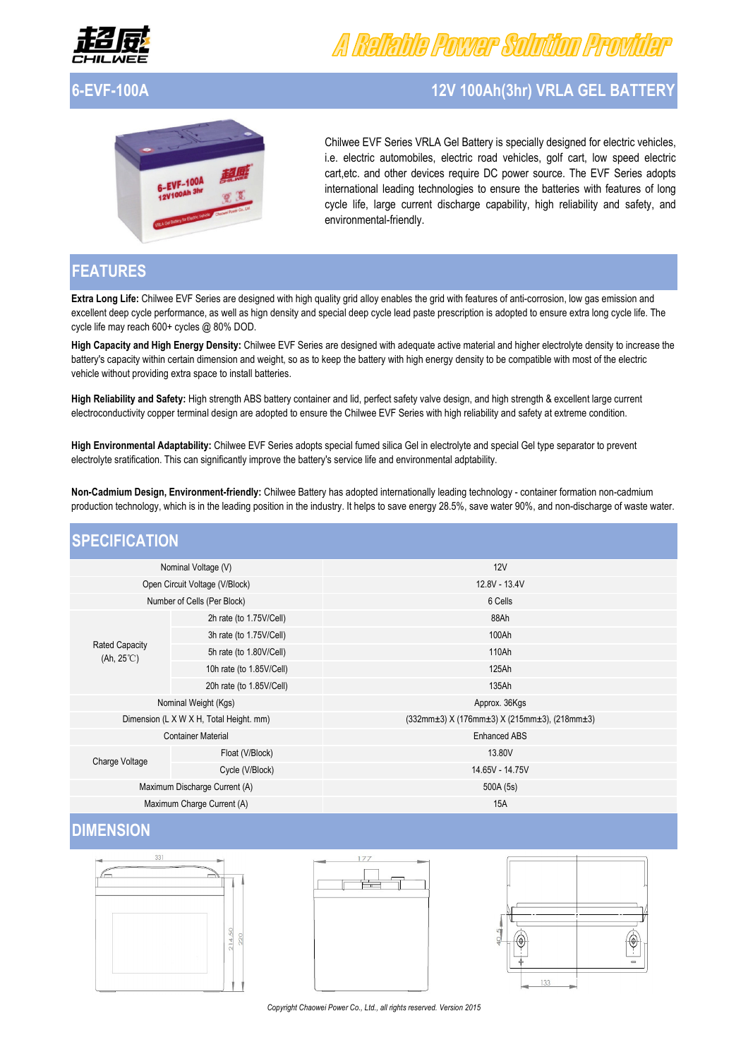

# Reliable Power Sobriton Provider

# **6-EVF-100A 12V 100Ah(3hr) VRLA GEL BATTERY**



Chilwee EVF Series VRLA Gel Battery is specially designed for electric vehicles, i.e. electric automobiles, electric road vehicles, golf cart, low speed electric cart,etc. and other devices require DC power source. The EVF Series adopts international leading technologies to ensure the batteries with features of long cycle life, large current discharge capability, high reliability and safety, and environmental-friendly.

### **FEATURES**

**Extra Long Life:** Chilwee EVF Series are designed with high quality grid alloy enables the grid with features of anti-corrosion, low gas emission and excellent deep cycle performance, as well as hign density and special deep cycle lead paste prescription is adopted to ensure extra long cycle life. The cycle life may reach 600+ cycles @ 80% DOD.

**High Capacity and High Energy Density:** Chilwee EVF Series are designed with adequate active material and higher electrolyte density to increase the battery's capacity within certain dimension and weight, so as to keep the battery with high energy density to be compatible with most of the electric vehicle without providing extra space to install batteries.

**High Reliability and Safety:** High strength ABS battery container and lid, perfect safety valve design, and high strength & excellent large current electroconductivity copper terminal design are adopted to ensure the Chilwee EVF Series with high reliability and safety at extreme condition.

**High Environmental Adaptability:** Chilwee EVF Series adopts special fumed silica Gel in electrolyte and special Gel type separator to prevent electrolyte sratification. This can significantly improve the battery's service life and environmental adptability.

**Non-Cadmium Design, Environment-friendly:** Chilwee Battery has adopted internationally leading technology - container formation non-cadmium production technology, which is in the leading position in the industry. It helps to save energy 28.5%, save water 90%, and non-discharge of waste water.

### **SPECIFICATION**

| Nominal Voltage (V)                          |                          | 12V                                                                |  |  |
|----------------------------------------------|--------------------------|--------------------------------------------------------------------|--|--|
| Open Circuit Voltage (V/Block)               |                          | 12.8V - 13.4V                                                      |  |  |
| Number of Cells (Per Block)                  |                          | 6 Cells                                                            |  |  |
| <b>Rated Capacity</b><br>$(Ah, 25^{\circ}C)$ | 2h rate (to 1.75V/Cell)  | 88Ah                                                               |  |  |
|                                              | 3h rate (to 1.75V/Cell)  | 100Ah                                                              |  |  |
|                                              | 5h rate (to 1.80V/Cell)  | 110Ah                                                              |  |  |
|                                              | 10h rate (to 1.85V/Cell) | 125Ah                                                              |  |  |
|                                              | 20h rate (to 1.85V/Cell) | 135Ah                                                              |  |  |
| Nominal Weight (Kgs)                         |                          | Approx. 36Kgs                                                      |  |  |
| Dimension (L X W X H, Total Height. mm)      |                          | $(332mm\pm3)$ X (176mm $\pm3$ ) X (215mm $\pm3$ ), (218mm $\pm3$ ) |  |  |
| <b>Container Material</b>                    |                          | <b>Enhanced ABS</b>                                                |  |  |
| Charge Voltage                               | Float (V/Block)          | 13.80V                                                             |  |  |
|                                              | Cycle (V/Block)          | 14.65V - 14.75V                                                    |  |  |
| Maximum Discharge Current (A)                |                          | 500A (5s)                                                          |  |  |
| Maximum Charge Current (A)                   |                          | <b>15A</b>                                                         |  |  |

## **DIMENSION**





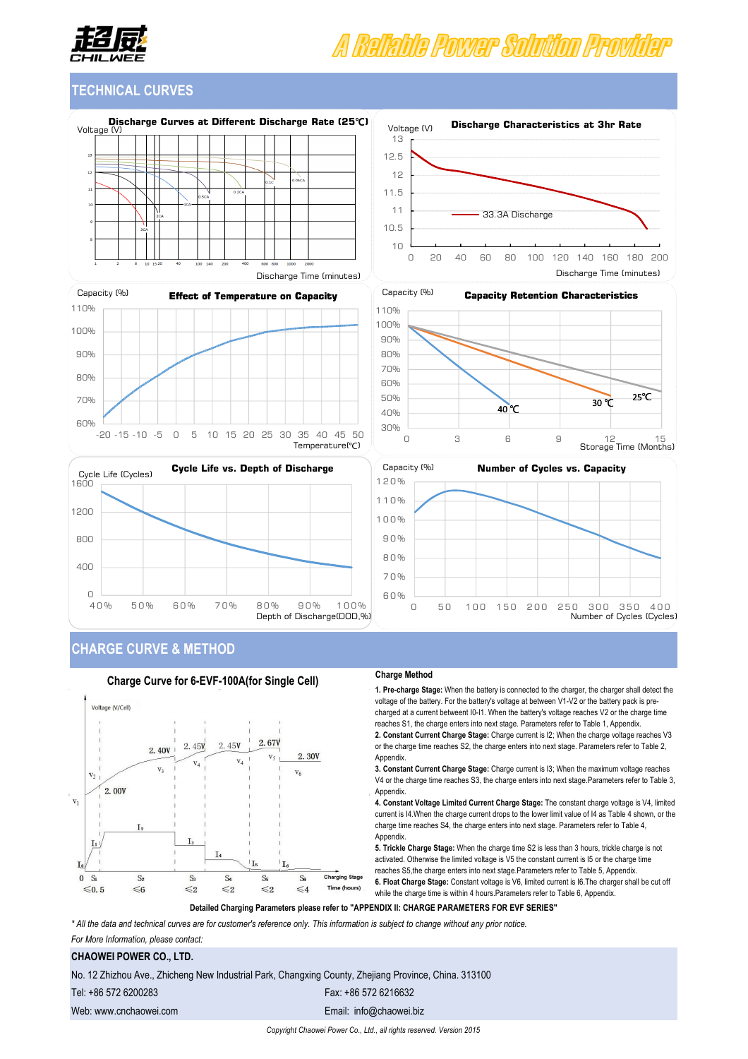

# A Rafabla Power Solution Provida

### **TECHNICAL CURVES**



Discharge Time (minutes)











### **CHARGE CURVE & METHOD**



#### **Charge Method**

**1. Pre-charge Stage:** When the battery is connected to the charger, the charger shall detect the voltage of the battery. For the battery's voltage at between V1-V2 or the battery pack is precharged at a current betweent I0-I1. When the battery's voltage reaches V2 or the charge time reaches S1, the charge enters into next stage. Parameters refer to Table 1, Appendix. **2. Constant Current Charge Stage:** Charge current is I2; When the charge voltage reaches V3 or the charge time reaches S2, the charge enters into next stage. Parameters refer to Table 2, Appendix.

**3. Constant Current Charge Stage:** Charge current is I3; When the maximum voltage reaches V4 or the charge time reaches S3, the charge enters into next stage.Parameters refer to Table 3, Appendix.

**4. Constant Voltage Limited Current Charge Stage:** The constant charge voltage is V4, limited current is I4.When the charge current drops to the lower limit value of I4 as Table 4 shown, or the charge time reaches S4, the charge enters into next stage. Parameters refer to Table 4, Appendix.

**5. Trickle Charge Stage:** When the charge time S2 is less than 3 hours, trickle charge is not activated. Otherwise the limited voltage is V5 the constant current is I5 or the charge time reaches S5,the charge enters into next stage.Parameters refer to Table 5, Appendix. **6. Float Charge Stage:** Constant voltage is V6, limited current is I6.The charger shall be cut off while the charge time is within 4 hours. Parameters refer to Table 6, Appendix.

**Detailed Charging Parameters please refer to "APPENDIX II: CHARGE PARAMETERS FOR EVF SERIES"**

*\* All the data and technical curves are for customer's reference only. This information is subject to change without any prior notice.* 

*For More Information, please contact:*

### **CHAOWEI POWER CO., LTD.**

No. 12 Zhizhou Ave., Zhicheng New Industrial Park, Changxing County, Zhejiang Province, China. 313100

Tel: +86 572 6200283 Fax: +86 572 6216632

Web: www.cnchaowei.com exercise www.cnchaowei.com Email: info@chaowei.biz